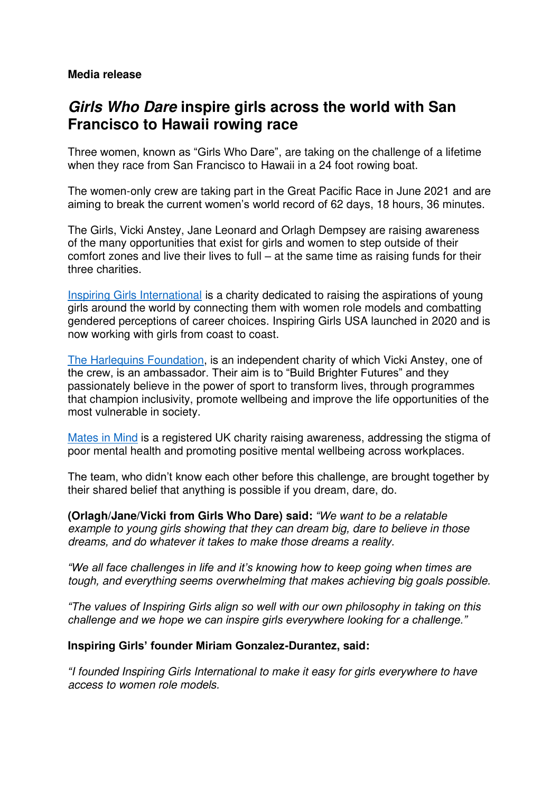### **Media release**

# **Girls Who Dare inspire girls across the world with San Francisco to Hawaii rowing race**

Three women, known as "Girls Who Dare", are taking on the challenge of a lifetime when they race from San Francisco to Hawaii in a 24 foot rowing boat.

The women-only crew are taking part in the Great Pacific Race in June 2021 and are aiming to break the current women's world record of 62 days, 18 hours, 36 minutes.

The Girls, Vicki Anstey, Jane Leonard and Orlagh Dempsey are raising awareness of the many opportunities that exist for girls and women to step outside of their comfort zones and live their lives to full – at the same time as raising funds for their three charities.

[Inspiring Girls International](https://inspiring-girls.com/) is a charity dedicated to raising the aspirations of young girls around the world by connecting them with women role models and combatting gendered perceptions of career choices. Inspiring Girls USA launched in 2020 and is now working with girls from coast to coast.

[The Harlequins Foundation,](https://www.harlequins.foundation/) is an independent charity of which Vicki Anstey, one of the crew, is an ambassador. Their aim is to "Build Brighter Futures" and they passionately believe in the power of sport to transform lives, through programmes that champion inclusivity, promote wellbeing and improve the life opportunities of the most vulnerable in society.

[Mates in Mind](https://www.matesinmind.org/) is a registered UK charity raising awareness, addressing the stigma of poor mental health and promoting positive mental wellbeing across workplaces.

The team, who didn't know each other before this challenge, are brought together by their shared belief that anything is possible if you dream, dare, do.

**(Orlagh/Jane/Vicki from Girls Who Dare) said:** *"We want to be a relatable example to young girls showing that they can dream big, dare to believe in those dreams, and do whatever it takes to make those dreams a reality.* 

*"We all face challenges in life and it's knowing how to keep going when times are tough, and everything seems overwhelming that makes achieving big goals possible.* 

*"The values of Inspiring Girls align so well with our own philosophy in taking on this challenge and we hope we can inspire girls everywhere looking for a challenge."* 

### **Inspiring Girls' founder Miriam Gonzalez-Durantez, said:**

*"I founded Inspiring Girls International to make it easy for girls everywhere to have access to women role models.*